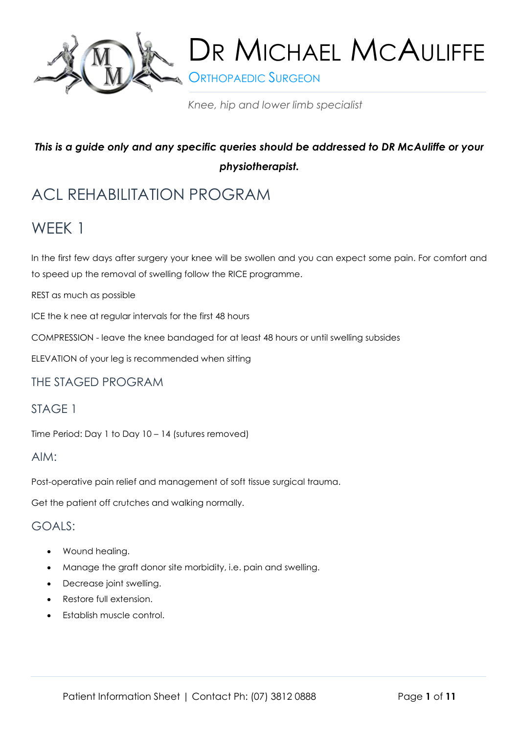

**S** ORTHOPAEDIC SURGEON

*Knee, hip and lower limb specialist*

# *This is a guide only and any specific queries should be addressed to DR McAuliffe or your physiotherapist.*

# ACL REHABILITATION PROGRAM

# WEEK 1

In the first few days after surgery your knee will be swollen and you can expect some pain. For comfort and to speed up the removal of swelling follow the RICE programme.

REST as much as possible

ICE the k nee at regular intervals for the first 48 hours

COMPRESSION - leave the knee bandaged for at least 48 hours or until swelling subsides

ELEVATION of your leg is recommended when sitting

#### THE STAGED PROGRAM

# STAGE 1

Time Period: Day 1 to Day 10 – 14 (sutures removed)

#### AIM:

Post-operative pain relief and management of soft tissue surgical trauma.

Get the patient off crutches and walking normally.

#### GOALS:

- Wound healing.
- Manage the graft donor site morbidity, i.e. pain and swelling.
- Decrease joint swelling.
- Restore full extension.
- Establish muscle control.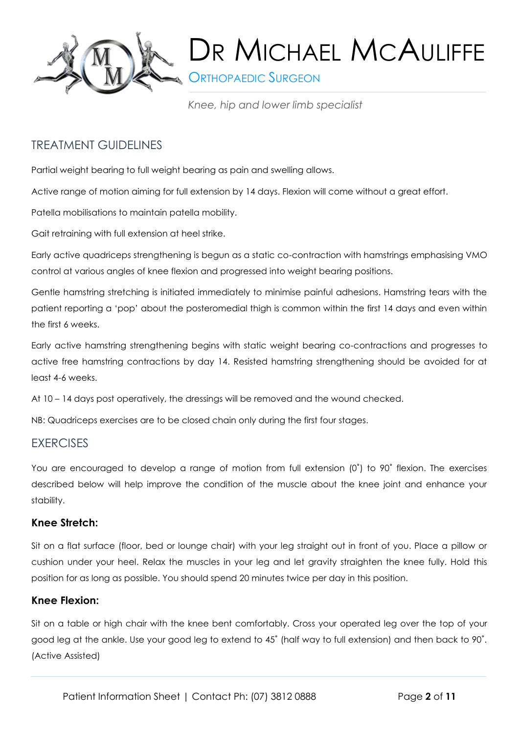

**ORTHOPAEDIC SURGEON** 

*Knee, hip and lower limb specialist*

# TREATMENT GUIDELINES

Partial weight bearing to full weight bearing as pain and swelling allows.

Active range of motion aiming for full extension by 14 days. Flexion will come without a great effort.

Patella mobilisations to maintain patella mobility.

Gait retraining with full extension at heel strike.

Early active quadriceps strengthening is begun as a static co-contraction with hamstrings emphasising VMO control at various angles of knee flexion and progressed into weight bearing positions.

Gentle hamstring stretching is initiated immediately to minimise painful adhesions. Hamstring tears with the patient reporting a 'pop' about the posteromedial thigh is common within the first 14 days and even within the first 6 weeks.

Early active hamstring strengthening begins with static weight bearing co-contractions and progresses to active free hamstring contractions by day 14. Resisted hamstring strengthening should be avoided for at least 4-6 weeks.

At 10 – 14 days post operatively, the dressings will be removed and the wound checked.

NB: Quadriceps exercises are to be closed chain only during the first four stages.

#### **EXERCISES**

You are encouraged to develop a range of motion from full extension (0°) to 90° flexion. The exercises described below will help improve the condition of the muscle about the knee joint and enhance your stability.

#### **Knee Stretch:**

Sit on a flat surface (floor, bed or lounge chair) with your leg straight out in front of you. Place a pillow or cushion under your heel. Relax the muscles in your leg and let gravity straighten the knee fully. Hold this position for as long as possible. You should spend 20 minutes twice per day in this position.

#### **Knee Flexion:**

Sit on a table or high chair with the knee bent comfortably. Cross your operated leg over the top of your good leg at the ankle. Use your good leg to extend to 45˚ (half way to full extension) and then back to 90˚. (Active Assisted)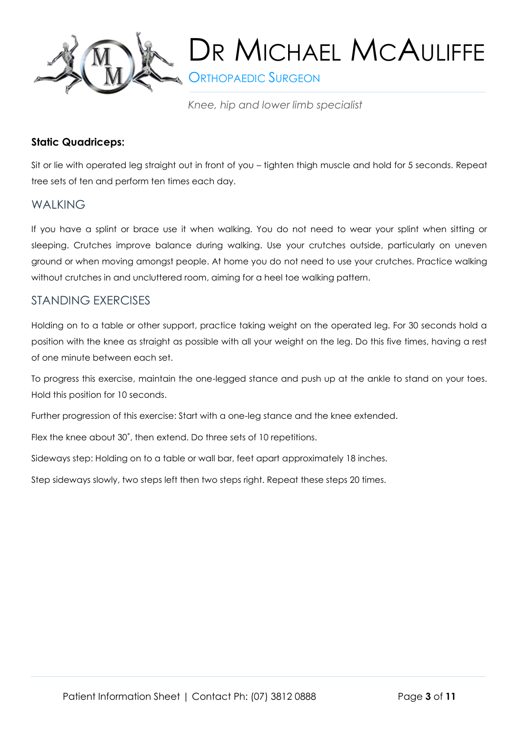

**S** ORTHOPAEDIC SURGEON

*Knee, hip and lower limb specialist*

#### **Static Quadriceps:**

Sit or lie with operated leg straight out in front of you – tighten thigh muscle and hold for 5 seconds. Repeat tree sets of ten and perform ten times each day.

## **WAIKING**

If you have a splint or brace use it when walking. You do not need to wear your splint when sitting or sleeping. Crutches improve balance during walking. Use your crutches outside, particularly on uneven ground or when moving amongst people. At home you do not need to use your crutches. Practice walking without crutches in and uncluttered room, aiming for a heel toe walking pattern.

## STANDING EXERCISES

Holding on to a table or other support, practice taking weight on the operated leg. For 30 seconds hold a position with the knee as straight as possible with all your weight on the leg. Do this five times, having a rest of one minute between each set.

To progress this exercise, maintain the one-legged stance and push up at the ankle to stand on your toes. Hold this position for 10 seconds.

Further progression of this exercise: Start with a one-leg stance and the knee extended.

Flex the knee about 30˚, then extend. Do three sets of 10 repetitions.

Sideways step: Holding on to a table or wall bar, feet apart approximately 18 inches.

Step sideways slowly, two steps left then two steps right. Repeat these steps 20 times.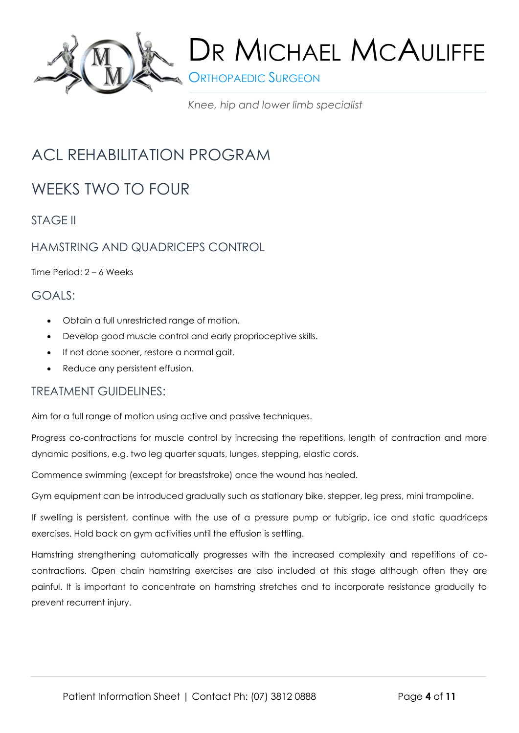

**S** ORTHOPAEDIC SURGEON

*Knee, hip and lower limb specialist*

# ACL REHABILITATION PROGRAM

# WEEKS TWO TO FOUR

STAGE II

# HAMSTRING AND QUADRICEPS CONTROL

Time Period: 2 – 6 Weeks

# GOALS:

- Obtain a full unrestricted range of motion.
- Develop good muscle control and early proprioceptive skills.
- If not done sooner, restore a normal gait.
- Reduce any persistent effusion.

## TREATMENT GUIDELINES:

Aim for a full range of motion using active and passive techniques.

Progress co-contractions for muscle control by increasing the repetitions, length of contraction and more dynamic positions, e.g. two leg quarter squats, lunges, stepping, elastic cords.

Commence swimming (except for breaststroke) once the wound has healed.

Gym equipment can be introduced gradually such as stationary bike, stepper, leg press, mini trampoline.

If swelling is persistent, continue with the use of a pressure pump or tubigrip, ice and static quadriceps exercises. Hold back on gym activities until the effusion is settling.

Hamstring strengthening automatically progresses with the increased complexity and repetitions of cocontractions. Open chain hamstring exercises are also included at this stage although often they are painful. It is important to concentrate on hamstring stretches and to incorporate resistance gradually to prevent recurrent injury.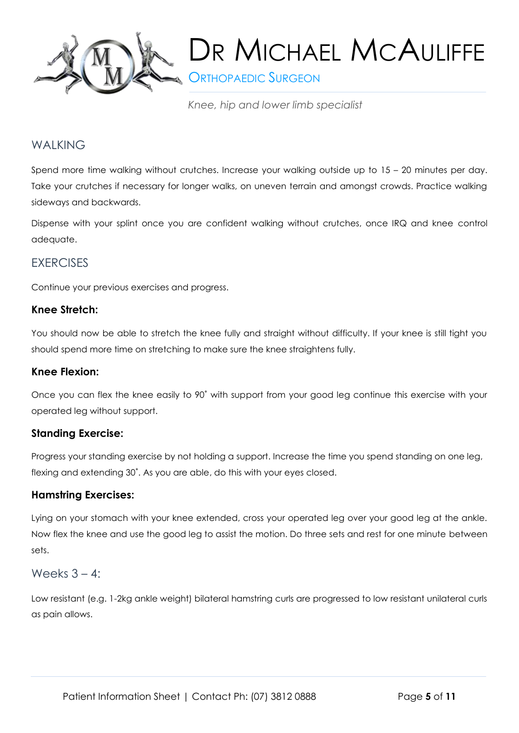

**SORTHOPAEDIC SURGEON** 

*Knee, hip and lower limb specialist*

# WALKING

Spend more time walking without crutches. Increase your walking outside up to 15 – 20 minutes per day. Take your crutches if necessary for longer walks, on uneven terrain and amongst crowds. Practice walking sideways and backwards.

Dispense with your splint once you are confident walking without crutches, once IRQ and knee control adequate.

## **EXERCISES**

Continue your previous exercises and progress.

#### **Knee Stretch:**

You should now be able to stretch the knee fully and straight without difficulty. If your knee is still tight you should spend more time on stretching to make sure the knee straightens fully.

#### **Knee Flexion:**

Once you can flex the knee easily to 90˚ with support from your good leg continue this exercise with your operated leg without support.

#### **Standing Exercise:**

Progress your standing exercise by not holding a support. Increase the time you spend standing on one leg, flexing and extending 30˚. As you are able, do this with your eyes closed.

#### **Hamstring Exercises:**

Lying on your stomach with your knee extended, cross your operated leg over your good leg at the ankle. Now flex the knee and use the good leg to assist the motion. Do three sets and rest for one minute between sets.

#### Weeks  $3 - 4$ :

Low resistant (e.g. 1-2kg ankle weight) bilateral hamstring curls are progressed to low resistant unilateral curls as pain allows.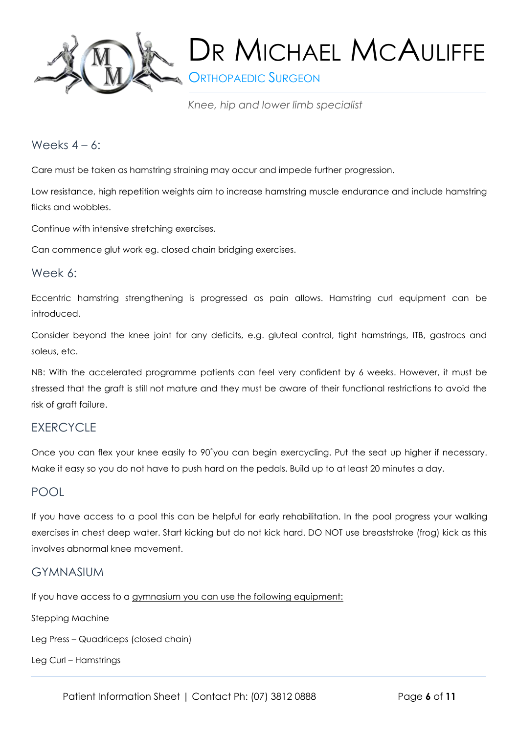

**SORTHOPAEDIC SURGEON** 

*Knee, hip and lower limb specialist*

#### Weeks  $4 - 6$ :

Care must be taken as hamstring straining may occur and impede further progression.

Low resistance, high repetition weights aim to increase hamstring muscle endurance and include hamstring flicks and wobbles.

Continue with intensive stretching exercises.

Can commence glut work eg. closed chain bridging exercises.

#### Week 6:

Eccentric hamstring strengthening is progressed as pain allows. Hamstring curl equipment can be introduced.

Consider beyond the knee joint for any deficits, e.g. gluteal control, tight hamstrings, ITB, gastrocs and soleus, etc.

NB: With the accelerated programme patients can feel very confident by 6 weeks. However, it must be stressed that the graft is still not mature and they must be aware of their functional restrictions to avoid the risk of graft failure.

## **EXERCYCLE**

Once you can flex your knee easily to 90˚you can begin exercycling. Put the seat up higher if necessary. Make it easy so you do not have to push hard on the pedals. Build up to at least 20 minutes a day.

## POOL

If you have access to a pool this can be helpful for early rehabilitation. In the pool progress your walking exercises in chest deep water. Start kicking but do not kick hard. DO NOT use breaststroke (frog) kick as this involves abnormal knee movement.

## GYMNASIUM

If you have access to a gymnasium you can use the following equipment:

Stepping Machine

Leg Press – Quadriceps (closed chain)

Leg Curl – Hamstrings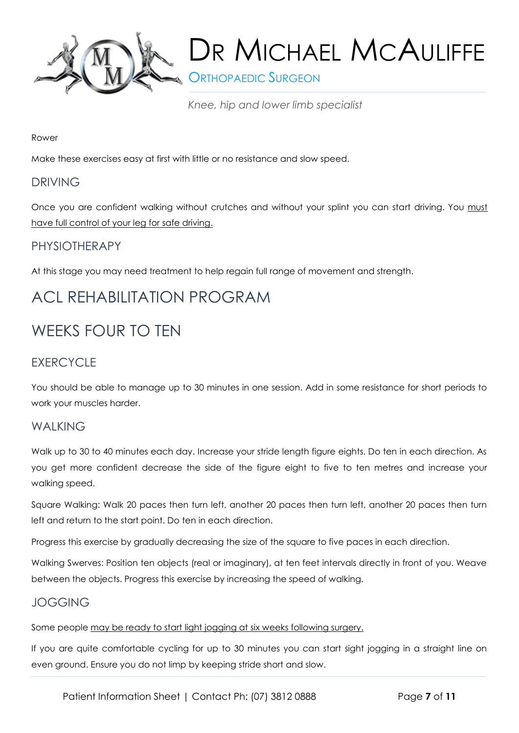

**ORTHOPAEDIC SURGEON** 

*Knee, hip and lower limb specialist*

#### Rower

Make these exercises easy at first with little or no resistance and slow speed.

## DRIVING

Once you are confident walking without crutches and without your splint you can start driving. You must have full control of your leg for safe driving.

# PHYSIOTHERAPY

At this stage you may need treatment to help regain full range of movement and strength.

# ACL REHABILITATION PROGRAM

# WEEKS FOUR TO TEN

# **EXERCYCLE**

You should be able to manage up to 30 minutes in one session. Add in some resistance for short periods to work your muscles harder.

## **WAIKING**

Walk up to 30 to 40 minutes each day. Increase your stride length figure eights. Do ten in each direction. As you get more confident decrease the side of the figure eight to five to ten metres and increase your walking speed.

Square Walking: Walk 20 paces then turn left, another 20 paces then turn left, another 20 paces then turn left and return to the start point. Do ten in each direction.

Progress this exercise by gradually decreasing the size of the square to five paces in each direction.

Walking Swerves: Position ten objects (real or imaginary), at ten feet intervals directly in front of you. Weave between the objects. Progress this exercise by increasing the speed of walking.

## JOGGING

Some people may be ready to start light jogging at six weeks following surgery.

If you are quite comfortable cycling for up to 30 minutes you can start sight jogging in a straight line on even ground. Ensure you do not limp by keeping stride short and slow.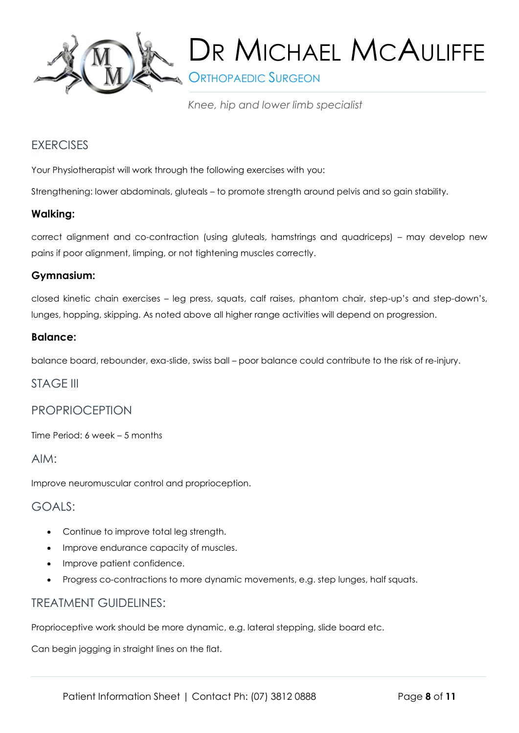

**S** ORTHOPAEDIC SURGEON

*Knee, hip and lower limb specialist*

# **EXERCISES**

Your Physiotherapist will work through the following exercises with you:

Strengthening: lower abdominals, gluteals – to promote strength around pelvis and so gain stability.

## **Walking:**

correct alignment and co-contraction (using gluteals, hamstrings and quadriceps) – may develop new pains if poor alignment, limping, or not tightening muscles correctly.

#### **Gymnasium:**

closed kinetic chain exercises – leg press, squats, calf raises, phantom chair, step-up's and step-down's, lunges, hopping, skipping. As noted above all higher range activities will depend on progression.

#### **Balance:**

balance board, rebounder, exa-slide, swiss ball – poor balance could contribute to the risk of re-injury.

## STAGE III

# PROPRIOCEPTION

Time Period: 6 week – 5 months

AIM:

Improve neuromuscular control and proprioception.

## GOALS:

- Continue to improve total leg strength.
- Improve endurance capacity of muscles.
- Improve patient confidence.
- Progress co-contractions to more dynamic movements, e.g. step lunges, half squats.

## TREATMENT GUIDELINES:

Proprioceptive work should be more dynamic, e.g. lateral stepping, slide board etc.

Can begin jogging in straight lines on the flat.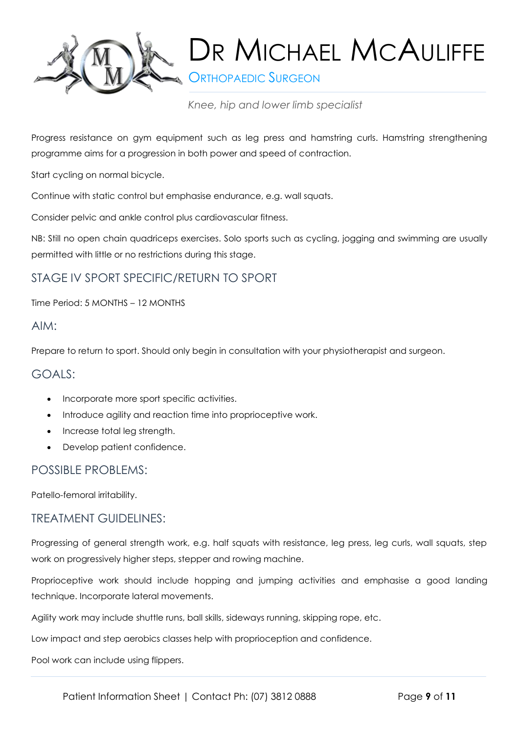

**ORTHOPAEDIC SURGEON** 

*Knee, hip and lower limb specialist*

Progress resistance on gym equipment such as leg press and hamstring curls. Hamstring strengthening programme aims for a progression in both power and speed of contraction.

Start cycling on normal bicycle.

Continue with static control but emphasise endurance, e.g. wall squats.

Consider pelvic and ankle control plus cardiovascular fitness.

NB: Still no open chain quadriceps exercises. Solo sports such as cycling, jogging and swimming are usually permitted with little or no restrictions during this stage.

# STAGE IV SPORT SPECIFIC/RETURN TO SPORT

Time Period: 5 MONTHS – 12 MONTHS

#### AIM:

Prepare to return to sport. Should only begin in consultation with your physiotherapist and surgeon.

#### GOALS:

- Incorporate more sport specific activities.
- Introduce agility and reaction time into proprioceptive work.
- Increase total leg strength.
- Develop patient confidence.

## POSSIBLE PROBLEMS:

Patello-femoral irritability.

#### TREATMENT GUIDELINES:

Progressing of general strength work, e.g. half squats with resistance, leg press, leg curls, wall squats, step work on progressively higher steps, stepper and rowing machine.

Proprioceptive work should include hopping and jumping activities and emphasise a good landing technique. Incorporate lateral movements.

Agility work may include shuttle runs, ball skills, sideways running, skipping rope, etc.

Low impact and step aerobics classes help with proprioception and confidence.

Pool work can include using flippers.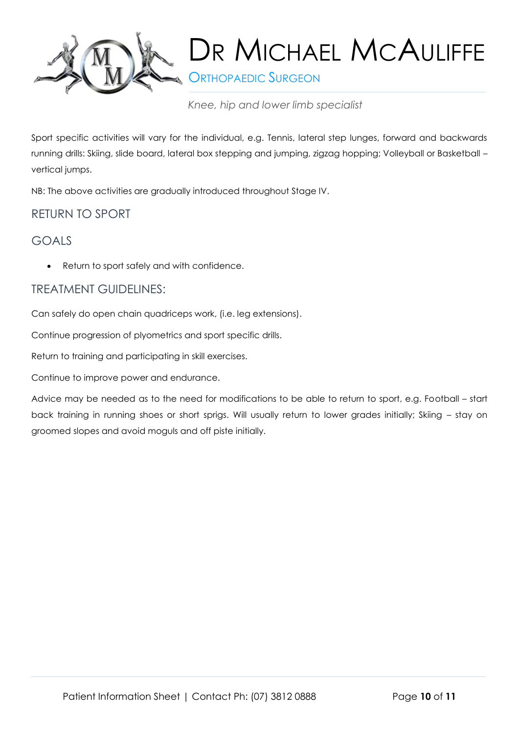

**ORTHOPAEDIC SURGEON** 

*Knee, hip and lower limb specialist*

Sport specific activities will vary for the individual, e.g. Tennis, lateral step lunges, forward and backwards running drills: Skiing, slide board, lateral box stepping and jumping, zigzag hopping; Volleyball or Basketball – vertical jumps.

NB: The above activities are gradually introduced throughout Stage IV.

# RETURN TO SPORT

# GOALS

Return to sport safely and with confidence.

# TREATMENT GUIDELINES:

Can safely do open chain quadriceps work, (i.e. leg extensions).

Continue progression of plyometrics and sport specific drills.

Return to training and participating in skill exercises.

Continue to improve power and endurance.

Advice may be needed as to the need for modifications to be able to return to sport, e.g. Football – start back training in running shoes or short sprigs. Will usually return to lower grades initially; Skiing – stay on groomed slopes and avoid moguls and off piste initially.